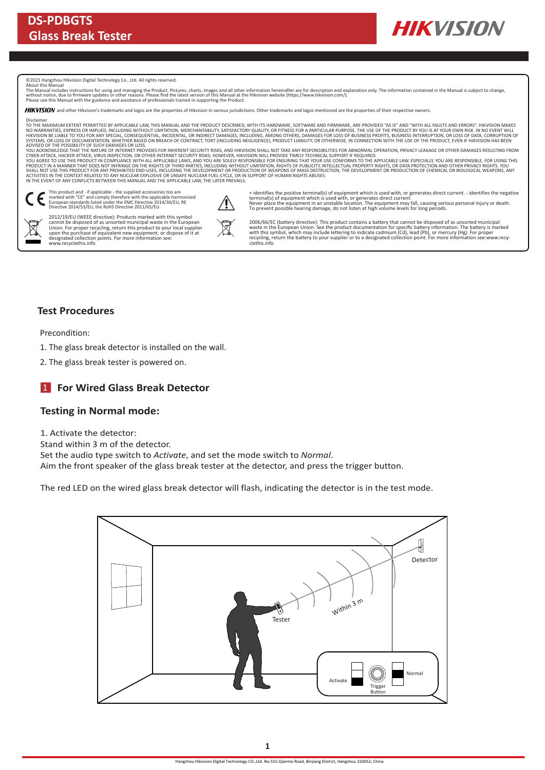

©2021 Hangzhou Hikvision Digital Technology Co., Ltd. All rights reserved.

About this Manual<br>The Manual includes instructions for using and managing the Product. Pictures, charts, images and all other information hereinafter are for description and explanation only. The information contained in t

HIKVISION and other Hikvision's trademarks and logos are the properties of Hikvision in various jurisdictions. Other trademarks and logos mentioned are the properties of their respective owners

Disclaimer<br>TO THE MAXIMUM EXTENT PERMITTED BY APPLICABLE LAW, THIS MANUAL AND THE PRODUCT DESCRIBED, WITH ITS HARDWARE, SOFTWARE AND FIRMWARE, ARE PROVIDED "AS IS" AND "WITH ALL FAULTS AND ERRORS". HIKVISION MAKES<br>NO WARRA

ADVISED OF THE POSSIBILITY OF SUCH DAMAGES OR LOSS.<br>YOU ACKNOWLEDGE THAT THE NATURE OF INTERNATION OF DEVIDENCIAL MATCHER AND HEVISION SHALL NOT TAKE ANY RESPONSIBILITES FOR ABNORMAL OPERATION, PRIVACY LEAKAGE OR OTHER DAM

ACTIVITIES IN THE CONTEXT RELATED TO ANY NUCLEAR EXPLOSIVE OR UNSAFE NUCLEAR FUEL-CYCLE, OR IN SUPPORT OF HUMAN RIGHTS ABUSES.<br>IN THE EVENT OF ANY CONFLICTS BETWEEN THIS MANUAL AND THE APPLICABLE LAW, THE LATER PREVAILS.

This product and - if applicable - the supplied accessories too are<br>marked with "CE" and comply therefore with the applicable harmonized<br>European standards listed under the EMC Directive 2014/30/EU, RE<br>Directive 2014/53/EU



2012/19/EU (WEEE directive): Products marked with this symbol<br>cannot be disposed of as unsorted municipal waste in the European<br>Union. For proper recycling, return this product to your local supplier<br>upon the purchase of e

+ identifies the positive terminal(s) of equipment which is used with, or generates direct current. - identifies the negative terminal(s) of equipment which is used with, or generates direct current.<br>Never place the equipment in an unstable location. The equipment may fall, causing serious personal injury or death.<br>To prevent possible hearing dam

2006/66/EC (battery directive): This product contains a battery that cannot be disposed of as unsorted municipal<br>waste in the European Union. See the product documentation for specific battery information. The battery is m

#### **Test Procedures**

Precondition:

1. The glass break detector is installed on the wall.

2. The glass break tester is powered on.

## **For Wired Glass Break Detector** 1

#### **Testing in Normal mode:**

1. Activate the detector:

Stand within 3 m of the detector.

Set the audio type switch to *Activate*, and set the mode switch to *Normal*.

Aim the front speaker of the glass break tester at the detector, and press the trigger button.

The red LED on the wired glass break detector will flash, indicating the detector is in the test mode.

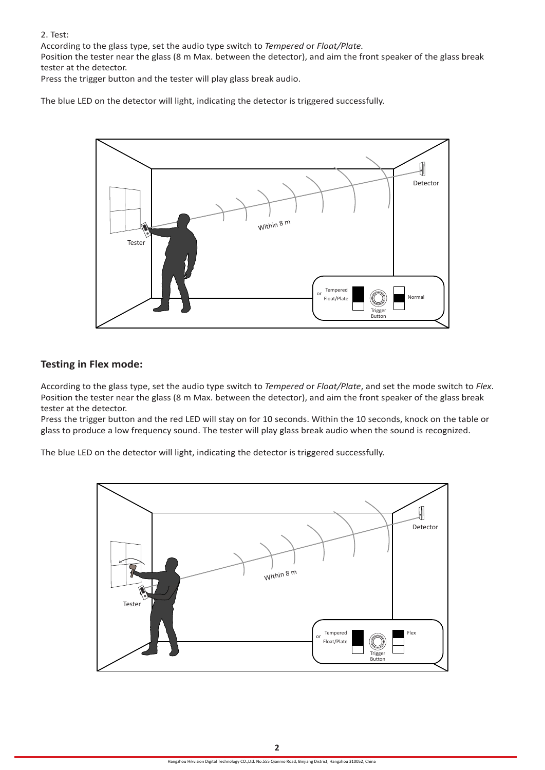2. Test:

According to the glass type, set the audio type switch to *Tempered* or *Float/Plate.*

Position the tester near the glass (8 m Max. between the detector), and aim the front speaker of the glass break tester at the detector.

Press the trigger button and the tester will play glass break audio.

The blue LED on the detector will light, indicating the detector is triggered successfully.



#### **Testing in Flex mode:**

According to the glass type, set the audio type switch to *Tempered* or *Float/Plate*, and set the mode switch to *Flex*. Position the tester near the glass (8 m Max. between the detector), and aim the front speaker of the glass break tester at the detector.

Press the trigger button and the red LED will stay on for 10 seconds. Within the 10 seconds, knock on the table or glass to produce a low frequency sound. The tester will play glass break audio when the sound is recognized.

The blue LED on the detector will light, indicating the detector is triggered successfully.

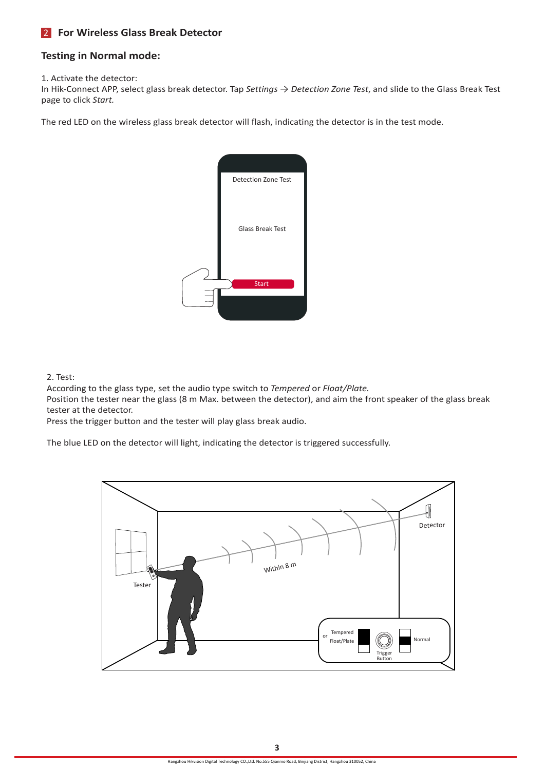# **For Wireless Glass Break Detector** 2

### **Testing in Normal mode:**

1. Activate the detector:

In Hik-Connect APP, select glass break detector. Tap *Settings* → *Detection Zone Test*, and slide to the Glass Break Test page to click *Start.*

The red LED on the wireless glass break detector will flash, indicating the detector is in the test mode.



2. Test:

According to the glass type, set the audio type switch to *Tempered* or *Float/Plate.*

Position the tester near the glass (8 m Max. between the detector), and aim the front speaker of the glass break tester at the detector.

Press the trigger button and the tester will play glass break audio.

The blue LED on the detector will light, indicating the detector is triggered successfully.